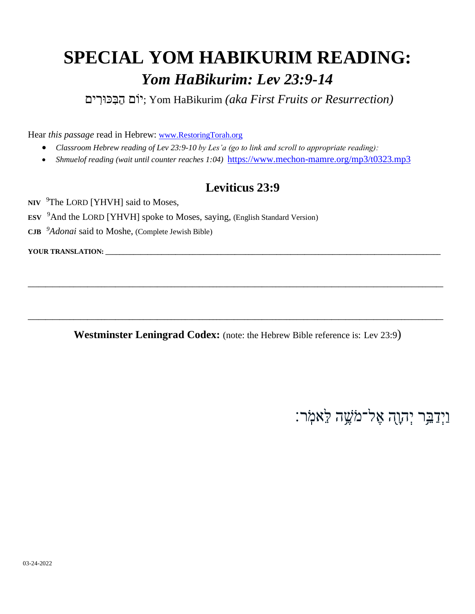## **SPECIAL YOM HABIKURIM READING:**  *Yom HaBikurim: Lev 23:9-14*

*(Resurrection or Fruits First aka (*HaBikurim Yom; יֹום הַבִּ ּכּורִּ ים

Hear *this passage* read in Hebrew: [www.RestoringTorah.org](http://www.restoringtorah.org/)

- *Classroom Hebrew reading of Lev 23:9-10 by Les'a (go to link and scroll to appropriate reading):*
- *Shmuelof reading (wait until counter reaches 1:04)* <https://www.mechon-mamre.org/mp3/t0323.mp3>

#### **Leviticus 23:9**

NIV <sup>9</sup>The LORD [YHVH] said to Moses,

- **ESV**  <sup>9</sup>And the LORD [YHVH] spoke to Moses, saying, (English Standard Version)
- **CJB**  *<sup>9</sup>Adonai* said to Moshe, (Complete Jewish Bible)

YOUR TRANSLATION: \_

**Westminster Leningrad Codex:** (note: the Hebrew Bible reference is: Lev 23:9)

**\_\_\_\_\_\_\_\_\_\_\_\_\_\_\_\_\_\_\_\_\_\_\_\_\_\_\_\_\_\_\_\_\_\_\_\_\_\_\_\_\_\_\_\_\_\_\_\_\_\_\_\_\_\_\_\_\_\_\_\_\_\_\_\_\_\_\_\_\_\_\_\_\_\_\_\_\_\_\_\_\_\_\_\_\_\_\_\_\_\_\_\_\_\_\_\_\_\_\_\_\_\_\_\_\_\_\_\_\_\_\_\_\_\_\_\_\_\_\_**

**\_\_\_\_\_\_\_\_\_\_\_\_\_\_\_\_\_\_\_\_\_\_\_\_\_\_\_\_\_\_\_\_\_\_\_\_\_\_\_\_\_\_\_\_\_\_\_\_\_\_\_\_\_\_\_\_\_\_\_\_\_\_\_\_\_\_\_\_\_\_\_\_\_\_\_\_\_\_\_\_\_\_\_\_\_\_\_\_\_\_\_\_\_\_\_\_\_\_\_\_\_\_\_\_\_\_\_\_\_\_\_\_\_\_\_\_\_\_\_**

וַיִּדַבֵּר יִהְוָה אֵל־מֹשֶׁה לֵ**ֹּ**אמֹֽר: